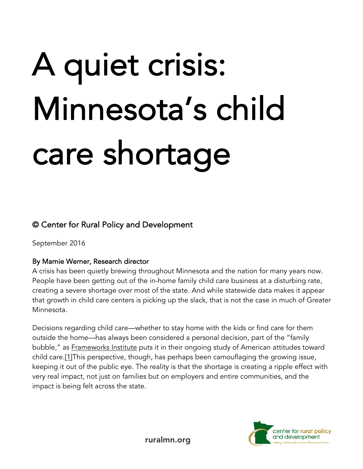# A quiet crisis: Minnesota's child care shortage

### © Center for Rural Policy and Development

September 2016

#### By Marnie Werner, Research director

A crisis has been quietly brewing throughout Minnesota and the nation for many years now. People have been getting out of the in-home family child care business at a disturbing rate, creating a severe shortage over most of the state. And while statewide data makes it appear that growth in child care centers is picking up the slack, that is not the case in much of Greater Minnesota.

Decisions regarding child care—whether to stay home with the kids or find care for them outside the home—has always been considered a personal decision, part of the "family bubble," as **Frameworks Institute** puts it in their ongoing study of American attitudes toward child care.[1]This perspective, though, has perhaps been camouflaging the growing issue, keeping it out of the public eye. The reality is that the shortage is creating a ripple effect with very real impact, not just on families but on employers and entire communities, and the impact is being felt across the state.



ruralmn.org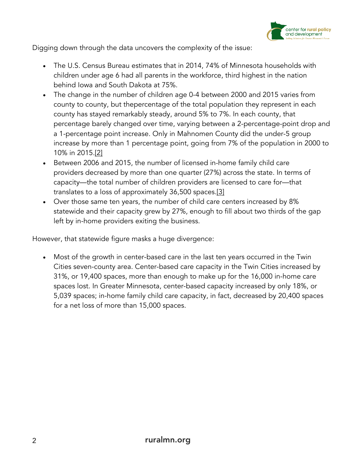

Digging down through the data uncovers the complexity of the issue:

- The U.S. Census Bureau estimates that in 2014, 74% of Minnesota households with children under age 6 had all parents in the workforce, third highest in the nation behind Iowa and South Dakota at 75%.
- The change in the number of children age 0-4 between 2000 and 2015 varies from county to county, but thepercentage of the total population they represent in each county has stayed remarkably steady, around 5% to 7%. In each county, that percentage barely changed over time, varying between a 2-percentage-point drop and a 1-percentage point increase. Only in Mahnomen County did the under-5 group increase by more than 1 percentage point, going from 7% of the population in 2000 to 10% in 2015.[2]
- Between 2006 and 2015, the number of licensed in-home family child care providers decreased by more than one quarter (27%) across the state. In terms of capacity—the total number of children providers are licensed to care for—that translates to a loss of approximately 36,500 spaces.[3]
- Over those same ten years, the number of child care centers increased by 8% statewide and their capacity grew by 27%, enough to fill about two thirds of the gap left by in-home providers exiting the business.

However, that statewide figure masks a huge divergence:

• Most of the growth in center-based care in the last ten years occurred in the Twin Cities seven-county area. Center-based care capacity in the Twin Cities increased by 31%, or 19,400 spaces, more than enough to make up for the 16,000 in-home care spaces lost. In Greater Minnesota, center-based capacity increased by only 18%, or 5,039 spaces; in-home family child care capacity, in fact, decreased by 20,400 spaces for a net loss of more than 15,000 spaces.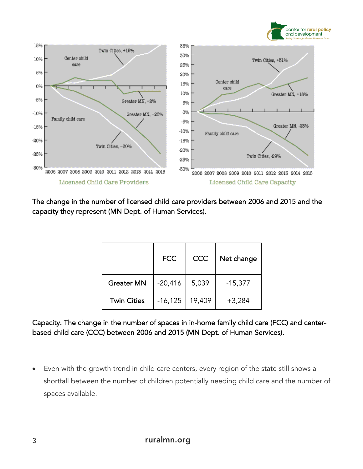



The change in the number of licensed child care providers between 2006 and 2015 and the capacity they represent (MN Dept. of Human Services).

|                    | <b>FCC</b> | CCC    | Net change |
|--------------------|------------|--------|------------|
| <b>Greater MN</b>  | $-20,416$  | 5,039  | $-15,377$  |
| <b>Twin Cities</b> | $-16,125$  | 19,409 | $+3,284$   |

Capacity: The change in the number of spaces in in-home family child care (FCC) and centerbased child care (CCC) between 2006 and 2015 (MN Dept. of Human Services).

• Even with the growth trend in child care centers, every region of the state still shows a shortfall between the number of children potentially needing child care and the number of spaces available.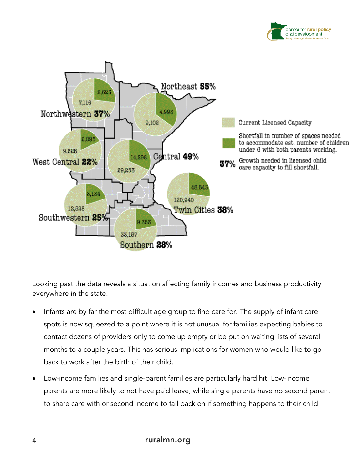



Looking past the data reveals a situation affecting family incomes and business productivity everywhere in the state.

- Infants are by far the most difficult age group to find care for. The supply of infant care spots is now squeezed to a point where it is not unusual for families expecting babies to contact dozens of providers only to come up empty or be put on waiting lists of several months to a couple years. This has serious implications for women who would like to go back to work after the birth of their child.
- Low-income families and single-parent families are particularly hard hit. Low-income parents are more likely to not have paid leave, while single parents have no second parent to share care with or second income to fall back on if something happens to their child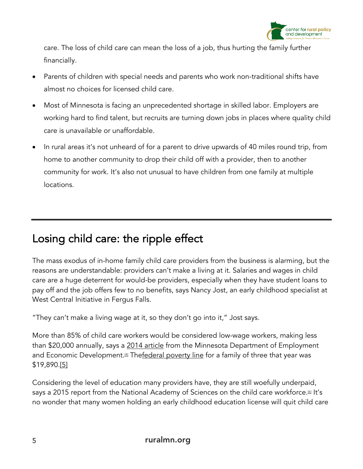

care. The loss of child care can mean the loss of a job, thus hurting the family further financially.

- Parents of children with special needs and parents who work non-traditional shifts have almost no choices for licensed child care.
- Most of Minnesota is facing an unprecedented shortage in skilled labor. Employers are working hard to find talent, but recruits are turning down jobs in places where quality child care is unavailable or unaffordable.
- In rural areas it's not unheard of for a parent to drive upwards of 40 miles round trip, from home to another community to drop their child off with a provider, then to another community for work. It's also not unusual to have children from one family at multiple locations.

# Losing child care: the ripple effect

The mass exodus of in-home family child care providers from the business is alarming, but the reasons are understandable: providers can't make a living at it. Salaries and wages in child care are a huge deterrent for would-be providers, especially when they have student loans to pay off and the job offers few to no benefits, says Nancy Jost, an early childhood specialist at West Central Initiative in Fergus Falls.

"They can't make a living wage at it, so they don't go into it," Jost says.

More than 85% of child care workers would be considered low-wage workers, making less than \$20,000 annually, says a 2014 article from the Minnesota Department of Employment and Economic Development.<sup>[4]</sup> Thefederal poverty line for a family of three that year was \$19,890.[5]

Considering the level of education many providers have, they are still woefully underpaid, says a 2015 report from the National Academy of Sciences on the child care workforce.<sup>[6]</sup> It's no wonder that many women holding an early childhood education license will quit child care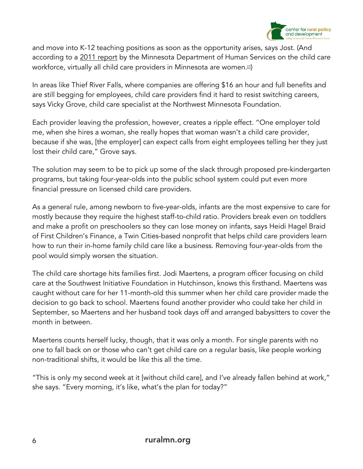

and move into K-12 teaching positions as soon as the opportunity arises, says Jost. (And according to a 2011 report by the Minnesota Department of Human Services on the child care workforce, virtually all child care providers in Minnesota are women.<sup>[2]</sup>)

In areas like Thief River Falls, where companies are offering \$16 an hour and full benefits and are still begging for employees, child care providers find it hard to resist switching careers, says Vicky Grove, child care specialist at the Northwest Minnesota Foundation.

Each provider leaving the profession, however, creates a ripple effect. "One employer told me, when she hires a woman, she really hopes that woman wasn't a child care provider, because if she was, [the employer] can expect calls from eight employees telling her they just lost their child care," Grove says.

The solution may seem to be to pick up some of the slack through proposed pre-kindergarten programs, but taking four-year-olds into the public school system could put even more financial pressure on licensed child care providers.

As a general rule, among newborn to five-year-olds, infants are the most expensive to care for mostly because they require the highest staff-to-child ratio. Providers break even on toddlers and make a profit on preschoolers so they can lose money on infants, says Heidi Hagel Braid of First Children's Finance, a Twin Cities-based nonprofit that helps child care providers learn how to run their in-home family child care like a business. Removing four-year-olds from the pool would simply worsen the situation.

The child care shortage hits families first. Jodi Maertens, a program officer focusing on child care at the Southwest Initiative Foundation in Hutchinson, knows this firsthand. Maertens was caught without care for her 11-month-old this summer when her child care provider made the decision to go back to school. Maertens found another provider who could take her child in September, so Maertens and her husband took days off and arranged babysitters to cover the month in between.

Maertens counts herself lucky, though, that it was only a month. For single parents with no one to fall back on or those who can't get child care on a regular basis, like people working non-traditional shifts, it would be like this all the time.

"This is only my second week at it [without child care], and I've already fallen behind at work," she says. "Every morning, it's like, what's the plan for today?"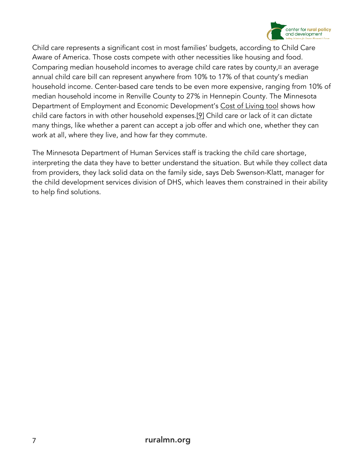

Child care represents a significant cost in most families' budgets, according to Child Care Aware of America. Those costs compete with other necessities like housing and food. Comparing median household incomes to average child care rates by county,<sup>81</sup> an average annual child care bill can represent anywhere from 10% to 17% of that county's median household income. Center-based care tends to be even more expensive, ranging from 10% of median household income in Renville County to 27% in Hennepin County. The Minnesota Department of Employment and Economic Development's Cost of Living tool shows how child care factors in with other household expenses.[9] Child care or lack of it can dictate many things, like whether a parent can accept a job offer and which one, whether they can work at all, where they live, and how far they commute.

The Minnesota Department of Human Services staff is tracking the child care shortage, interpreting the data they have to better understand the situation. But while they collect data from providers, they lack solid data on the family side, says Deb Swenson-Klatt, manager for the child development services division of DHS, which leaves them constrained in their ability to help find solutions.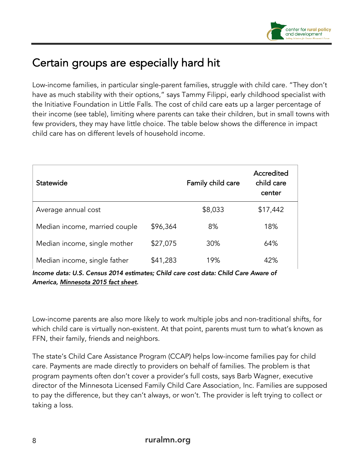

# Certain groups are especially hard hit

Low-income families, in particular single-parent families, struggle with child care. "They don't have as much stability with their options," says Tammy Filippi, early childhood specialist with the Initiative Foundation in Little Falls. The cost of child care eats up a larger percentage of their income (see table), limiting where parents can take their children, but in small towns with few providers, they may have little choice. The table below shows the difference in impact child care has on different levels of household income.

| Statewide                                                                          |          | Family child care | Accredited<br>child care<br>center |  |  |
|------------------------------------------------------------------------------------|----------|-------------------|------------------------------------|--|--|
| Average annual cost                                                                |          | \$8,033           | \$17,442                           |  |  |
| Median income, married couple                                                      | \$96,364 | 8%                | 18%                                |  |  |
| Median income, single mother                                                       | \$27,075 | 30%               | 64%                                |  |  |
| Median income, single father                                                       | \$41,283 | 19%               | 42%                                |  |  |
| Income data: U.S. Census 2014 estimates; Child care cost data: Child Care Aware of |          |                   |                                    |  |  |

*America, Minnesota 2015 fact sheet.*

Low-income parents are also more likely to work multiple jobs and non-traditional shifts, for which child care is virtually non-existent. At that point, parents must turn to what's known as FFN, their family, friends and neighbors.

The state's Child Care Assistance Program (CCAP) helps low-income families pay for child care. Payments are made directly to providers on behalf of families. The problem is that program payments often don't cover a provider's full costs, says Barb Wagner, executive director of the Minnesota Licensed Family Child Care Association, Inc. Families are supposed to pay the difference, but they can't always, or won't. The provider is left trying to collect or taking a loss.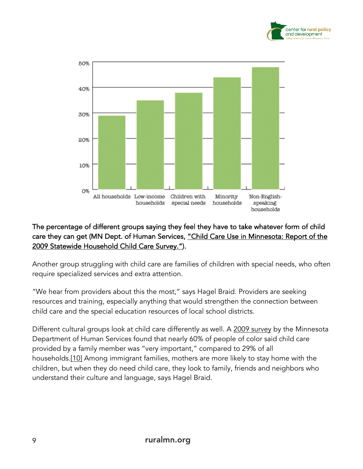



#### The percentage of different groups saying they feel they have to take whatever form of child care they can get (MN Dept. of Human Services, "Child Care Use in Minnesota: Report of the 2009 Statewide Household Child Care Survey.").

Another group struggling with child care are families of children with special needs, who often require specialized services and extra attention.

"We hear from providers about this the most," says Hagel Braid. Providers are seeking resources and training, especially anything that would strengthen the connection between child care and the special education resources of local school districts.

Different cultural groups look at child care differently as well. A 2009 survey by the Minnesota Department of Human Services found that nearly 60% of people of color said child care provided by a family member was "very important," compared to 29% of all households.[10] Among immigrant families, mothers are more likely to stay home with the children, but when they do need child care, they look to family, friends and neighbors who understand their culture and language, says Hagel Braid.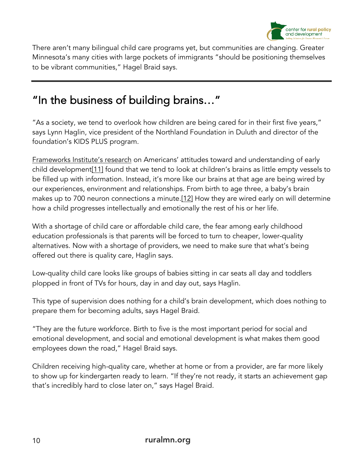

There aren't many bilingual child care programs yet, but communities are changing. Greater Minnesota's many cities with large pockets of immigrants "should be positioning themselves to be vibrant communities," Hagel Braid says.

# "In the business of building brains…"

"As a society, we tend to overlook how children are being cared for in their first five years," says Lynn Haglin, vice president of the Northland Foundation in Duluth and director of the foundation's KIDS PLUS program.

Frameworks Institute's research on Americans' attitudes toward and understanding of early child development[11] found that we tend to look at children's brains as little empty vessels to be filled up with information. Instead, it's more like our brains at that age are being wired by our experiences, environment and relationships. From birth to age three, a baby's brain makes up to 700 neuron connections a minute.[12] How they are wired early on will determine how a child progresses intellectually and emotionally the rest of his or her life.

With a shortage of child care or affordable child care, the fear among early childhood education professionals is that parents will be forced to turn to cheaper, lower-quality alternatives. Now with a shortage of providers, we need to make sure that what's being offered out there is quality care, Haglin says.

Low-quality child care looks like groups of babies sitting in car seats all day and toddlers plopped in front of TVs for hours, day in and day out, says Haglin.

This type of supervision does nothing for a child's brain development, which does nothing to prepare them for becoming adults, says Hagel Braid.

"They are the future workforce. Birth to five is the most important period for social and emotional development, and social and emotional development is what makes them good employees down the road," Hagel Braid says.

Children receiving high-quality care, whether at home or from a provider, are far more likely to show up for kindergarten ready to learn. "If they're not ready, it starts an achievement gap that's incredibly hard to close later on," says Hagel Braid.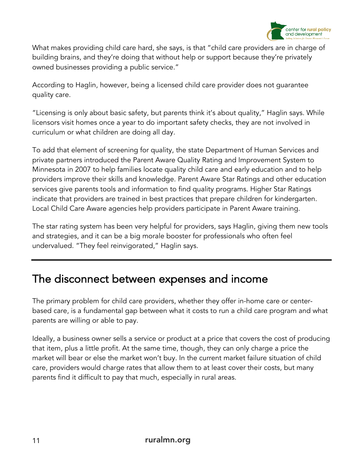

What makes providing child care hard, she says, is that "child care providers are in charge of building brains, and they're doing that without help or support because they're privately owned businesses providing a public service."

According to Haglin, however, being a licensed child care provider does not guarantee quality care.

"Licensing is only about basic safety, but parents think it's about quality," Haglin says. While licensors visit homes once a year to do important safety checks, they are not involved in curriculum or what children are doing all day.

To add that element of screening for quality, the state Department of Human Services and private partners introduced the Parent Aware Quality Rating and Improvement System to Minnesota in 2007 to help families locate quality child care and early education and to help providers improve their skills and knowledge. Parent Aware Star Ratings and other education services give parents tools and information to find quality programs. Higher Star Ratings indicate that providers are trained in best practices that prepare children for kindergarten. Local Child Care Aware agencies help providers participate in Parent Aware training.

The star rating system has been very helpful for providers, says Haglin, giving them new tools and strategies, and it can be a big morale booster for professionals who often feel undervalued. "They feel reinvigorated," Haglin says.

## The disconnect between expenses and income

The primary problem for child care providers, whether they offer in-home care or centerbased care, is a fundamental gap between what it costs to run a child care program and what parents are willing or able to pay.

Ideally, a business owner sells a service or product at a price that covers the cost of producing that item, plus a little profit. At the same time, though, they can only charge a price the market will bear or else the market won't buy. In the current market failure situation of child care, providers would charge rates that allow them to at least cover their costs, but many parents find it difficult to pay that much, especially in rural areas.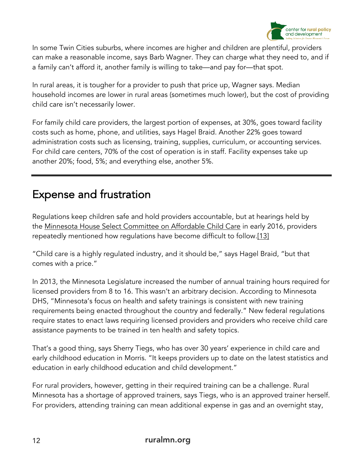

In some Twin Cities suburbs, where incomes are higher and children are plentiful, providers can make a reasonable income, says Barb Wagner. They can charge what they need to, and if a family can't afford it, another family is willing to take—and pay for—that spot.

In rural areas, it is tougher for a provider to push that price up, Wagner says. Median household incomes are lower in rural areas (sometimes much lower), but the cost of providing child care isn't necessarily lower.

For family child care providers, the largest portion of expenses, at 30%, goes toward facility costs such as home, phone, and utilities, says Hagel Braid. Another 22% goes toward administration costs such as licensing, training, supplies, curriculum, or accounting services. For child care centers, 70% of the cost of operation is in staff. Facility expenses take up another 20%; food, 5%; and everything else, another 5%.

# Expense and frustration

Regulations keep children safe and hold providers accountable, but at hearings held by the Minnesota House Select Committee on Affordable Child Care in early 2016, providers repeatedly mentioned how regulations have become difficult to follow.[13]

"Child care is a highly regulated industry, and it should be," says Hagel Braid, "but that comes with a price."

In 2013, the Minnesota Legislature increased the number of annual training hours required for licensed providers from 8 to 16. This wasn't an arbitrary decision. According to Minnesota DHS, "Minnesota's focus on health and safety trainings is consistent with new training requirements being enacted throughout the country and federally." New federal regulations require states to enact laws requiring licensed providers and providers who receive child care assistance payments to be trained in ten health and safety topics.

That's a good thing, says Sherry Tiegs, who has over 30 years' experience in child care and early childhood education in Morris. "It keeps providers up to date on the latest statistics and education in early childhood education and child development."

For rural providers, however, getting in their required training can be a challenge. Rural Minnesota has a shortage of approved trainers, says Tiegs, who is an approved trainer herself. For providers, attending training can mean additional expense in gas and an overnight stay,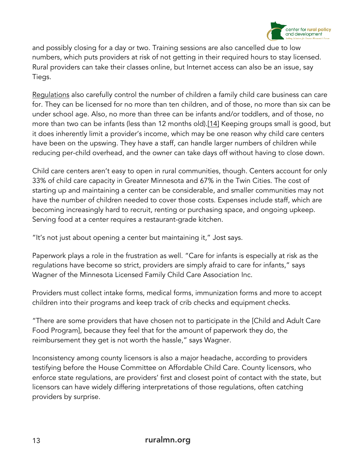

and possibly closing for a day or two. Training sessions are also cancelled due to low numbers, which puts providers at risk of not getting in their required hours to stay licensed. Rural providers can take their classes online, but Internet access can also be an issue, say Tiegs.

Regulations also carefully control the number of children a family child care business can care for. They can be licensed for no more than ten children, and of those, no more than six can be under school age. Also, no more than three can be infants and/or toddlers, and of those, no more than two can be infants (less than 12 months old).[14] Keeping groups small is good, but it does inherently limit a provider's income, which may be one reason why child care centers have been on the upswing. They have a staff, can handle larger numbers of children while reducing per-child overhead, and the owner can take days off without having to close down.

Child care centers aren't easy to open in rural communities, though. Centers account for only 33% of child care capacity in Greater Minnesota and 67% in the Twin Cities. The cost of starting up and maintaining a center can be considerable, and smaller communities may not have the number of children needed to cover those costs. Expenses include staff, which are becoming increasingly hard to recruit, renting or purchasing space, and ongoing upkeep. Serving food at a center requires a restaurant-grade kitchen.

"It's not just about opening a center but maintaining it," Jost says.

Paperwork plays a role in the frustration as well. "Care for infants is especially at risk as the regulations have become so strict, providers are simply afraid to care for infants," says Wagner of the Minnesota Licensed Family Child Care Association Inc.

Providers must collect intake forms, medical forms, immunization forms and more to accept children into their programs and keep track of crib checks and equipment checks.

"There are some providers that have chosen not to participate in the [Child and Adult Care Food Program], because they feel that for the amount of paperwork they do, the reimbursement they get is not worth the hassle," says Wagner.

Inconsistency among county licensors is also a major headache, according to providers testifying before the House Committee on Affordable Child Care. County licensors, who enforce state regulations, are providers' first and closest point of contact with the state, but licensors can have widely differing interpretations of those regulations, often catching providers by surprise.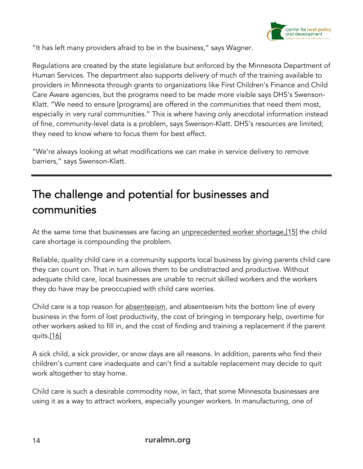

"It has left many providers afraid to be in the business," says Wagner.

Regulations are created by the state legislature but enforced by the Minnesota Department of Human Services. The department also supports delivery of much of the training available to providers in Minnesota through grants to organizations like First Children's Finance and Child Care Aware agencies, but the programs need to be made more visible says DHS's Swenson-Klatt. "We need to ensure [programs] are offered in the communities that need them most, especially in very rural communities." This is where having only anecdotal information instead of fine, community-level data is a problem, says Swenson-Klatt. DHS's resources are limited; they need to know where to focus them for best effect.

"We're always looking at what modifications we can make in service delivery to remove barriers," says Swenson-Klatt.

# The challenge and potential for businesses and communities

At the same time that businesses are facing an unprecedented worker shortage,[15] the child care shortage is compounding the problem.

Reliable, quality child care in a community supports local business by giving parents child care they can count on. That in turn allows them to be undistracted and productive. Without adequate child care, local businesses are unable to recruit skilled workers and the workers they do have may be preoccupied with child care worries.

Child care is a top reason for absenteeism, and absenteeism hits the bottom line of every business in the form of lost productivity, the cost of bringing in temporary help, overtime for other workers asked to fill in, and the cost of finding and training a replacement if the parent quits.[16]

A sick child, a sick provider, or snow days are all reasons. In addition, parents who find their children's current care inadequate and can't find a suitable replacement may decide to quit work altogether to stay home.

Child care is such a desirable commodity now, in fact, that some Minnesota businesses are using it as a way to attract workers, especially younger workers. In manufacturing, one of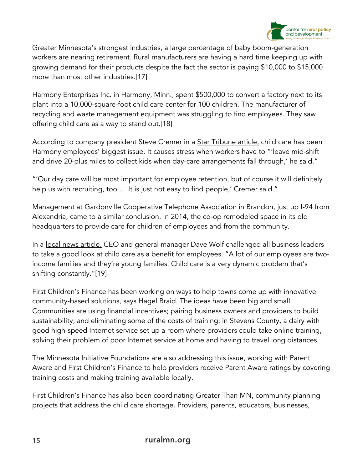

Greater Minnesota's strongest industries, a large percentage of baby boom-generation workers are nearing retirement. Rural manufacturers are having a hard time keeping up with growing demand for their products despite the fact the sector is paying \$10,000 to \$15,000 more than most other industries.[17]

Harmony Enterprises Inc. in Harmony, Minn., spent \$500,000 to convert a factory next to its plant into a 10,000-square-foot child care center for 100 children. The manufacturer of recycling and waste management equipment was struggling to find employees. They saw offering child care as a way to stand out.[18]

According to company president Steve Cremer in a <u>Star Tribune article</u>, child care has been Harmony employees' biggest issue. It causes stress when workers have to "'leave mid-shift and drive 20-plus miles to collect kids when day-care arrangements fall through,' he said."

"'Our day care will be most important for employee retention, but of course it will definitely help us with recruiting, too ... It is just not easy to find people,' Cremer said."

Management at Gardonville Cooperative Telephone Association in Brandon, just up I-94 from Alexandria, came to a similar conclusion. In 2014, the co-op remodeled space in its old headquarters to provide care for children of employees and from the community.

In a local news article, CEO and general manager Dave Wolf challenged all business leaders to take a good look at child care as a benefit for employees. "A lot of our employees are twoincome families and they're young families. Child care is a very dynamic problem that's shifting constantly."[19]

First Children's Finance has been working on ways to help towns come up with innovative community-based solutions, says Hagel Braid. The ideas have been big and small. Communities are using financial incentives; pairing business owners and providers to build sustainability; and eliminating some of the costs of training: in Stevens County, a dairy with good high-speed Internet service set up a room where providers could take online training, solving their problem of poor Internet service at home and having to travel long distances.

The Minnesota Initiative Foundations are also addressing this issue, working with Parent Aware and First Children's Finance to help providers receive Parent Aware ratings by covering training costs and making training available locally.

First Children's Finance has also been coordinating <u>Greater Than MN</u>, community planning projects that address the child care shortage. Providers, parents, educators, businesses,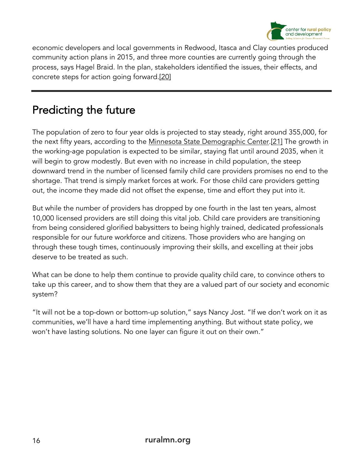

economic developers and local governments in Redwood, Itasca and Clay counties produced community action plans in 2015, and three more counties are currently going through the process, says Hagel Braid. In the plan, stakeholders identified the issues, their effects, and concrete steps for action going forward.[20]

# Predicting the future

The population of zero to four year olds is projected to stay steady, right around 355,000, for the next fifty years, according to the Minnesota State Demographic Center.[21] The growth in the working-age population is expected to be similar, staying flat until around 2035, when it will begin to grow modestly. But even with no increase in child population, the steep downward trend in the number of licensed family child care providers promises no end to the shortage. That trend is simply market forces at work. For those child care providers getting out, the income they made did not offset the expense, time and effort they put into it.

But while the number of providers has dropped by one fourth in the last ten years, almost 10,000 licensed providers are still doing this vital job. Child care providers are transitioning from being considered glorified babysitters to being highly trained, dedicated professionals responsible for our future workforce and citizens. Those providers who are hanging on through these tough times, continuously improving their skills, and excelling at their jobs deserve to be treated as such.

What can be done to help them continue to provide quality child care, to convince others to take up this career, and to show them that they are a valued part of our society and economic system?

"It will not be a top-down or bottom-up solution," says Nancy Jost. "If we don't work on it as communities, we'll have a hard time implementing anything. But without state policy, we won't have lasting solutions. No one layer can figure it out on their own."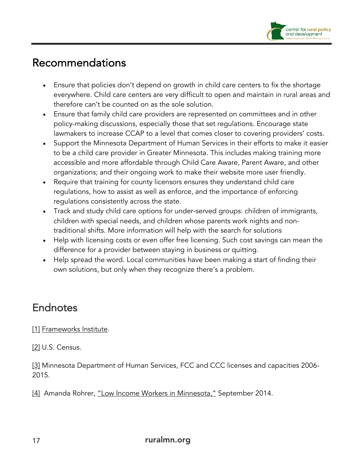

## Recommendations

- Ensure that policies don't depend on growth in child care centers to fix the shortage everywhere. Child care centers are very difficult to open and maintain in rural areas and therefore can't be counted on as the sole solution.
- Ensure that family child care providers are represented on committees and in other policy-making discussions, especially those that set regulations. Encourage state lawmakers to increase CCAP to a level that comes closer to covering providers' costs.
- Support the Minnesota Department of Human Services in their efforts to make it easier to be a child care provider in Greater Minnesota. This includes making training more accessible and more affordable through Child Care Aware, Parent Aware, and other organizations; and their ongoing work to make their website more user friendly.
- Require that training for county licensors ensures they understand child care regulations, how to assist as well as enforce, and the importance of enforcing regulations consistently across the state.
- Track and study child care options for under-served groups: children of immigrants, children with special needs, and children whose parents work nights and nontraditional shifts. More information will help with the search for solutions
- Help with licensing costs or even offer free licensing. Such cost savings can mean the difference for a provider between staying in business or quitting.
- Help spread the word. Local communities have been making a start of finding their own solutions, but only when they recognize there's a problem.

## Endnotes

#### [1] Frameworks Institute.

[2] U.S. Census.

[3] Minnesota Department of Human Services, FCC and CCC licenses and capacities 2006-2015.

[4] Amanda Rohrer, "Low Income Workers in Minnesota," September 2014.